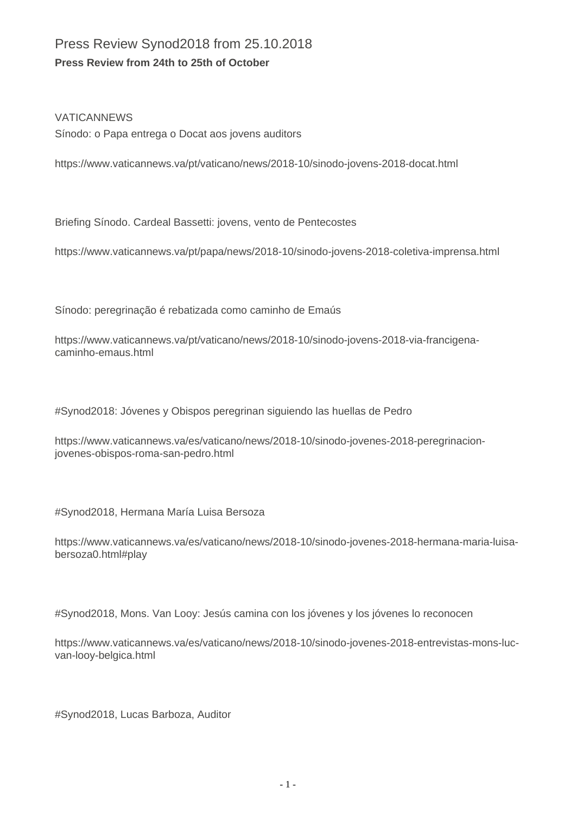## Press Review Synod2018 from 25.10.2018 **Press Review from 24th to 25th of October**

## VATICANNEWS

Sínodo: o Papa entrega o Docat aos jovens auditors

https://www.vaticannews.va/pt/vaticano/news/2018-10/sinodo-jovens-2018-docat.html

Briefing Sínodo. Cardeal Bassetti: jovens, vento de Pentecostes

https://www.vaticannews.va/pt/papa/news/2018-10/sinodo-jovens-2018-coletiva-imprensa.html

Sínodo: peregrinação é rebatizada como caminho de Emaús

https://www.vaticannews.va/pt/vaticano/news/2018-10/sinodo-jovens-2018-via-francigenacaminho-emaus.html

#Synod2018: Jóvenes y Obispos peregrinan siguiendo las huellas de Pedro

https://www.vaticannews.va/es/vaticano/news/2018-10/sinodo-jovenes-2018-peregrinacionjovenes-obispos-roma-san-pedro.html

#Synod2018, Hermana María Luisa Bersoza

https://www.vaticannews.va/es/vaticano/news/2018-10/sinodo-jovenes-2018-hermana-maria-luisabersoza0.html#play

#Synod2018, Mons. Van Looy: Jesús camina con los jóvenes y los jóvenes lo reconocen

https://www.vaticannews.va/es/vaticano/news/2018-10/sinodo-jovenes-2018-entrevistas-mons-lucvan-looy-belgica.html

#Synod2018, Lucas Barboza, Auditor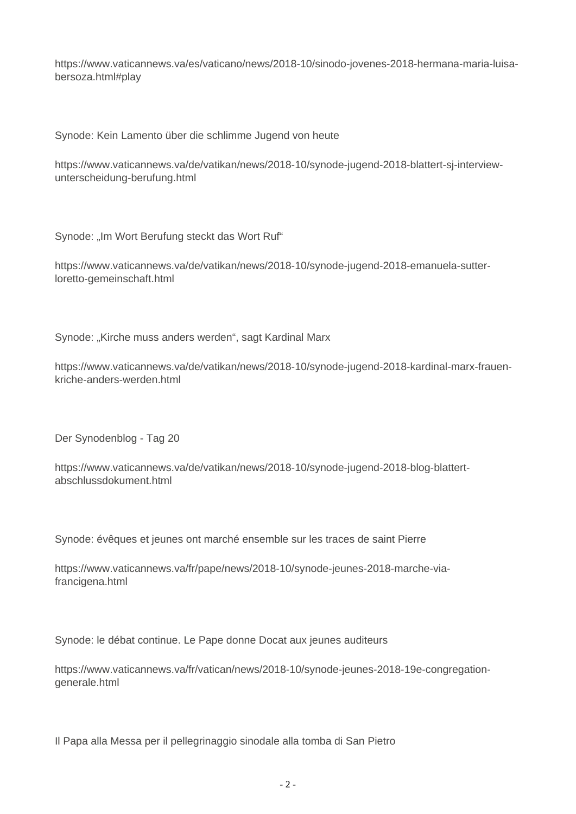https://www.vaticannews.va/es/vaticano/news/2018-10/sinodo-jovenes-2018-hermana-maria-luisabersoza.html#play

Synode: Kein Lamento über die schlimme Jugend von heute

https://www.vaticannews.va/de/vatikan/news/2018-10/synode-jugend-2018-blattert-sj-interviewunterscheidung-berufung.html

Synode: "Im Wort Berufung steckt das Wort Ruf"

https://www.vaticannews.va/de/vatikan/news/2018-10/synode-jugend-2018-emanuela-sutterloretto-gemeinschaft.html

Synode: "Kirche muss anders werden", sagt Kardinal Marx

https://www.vaticannews.va/de/vatikan/news/2018-10/synode-jugend-2018-kardinal-marx-frauenkriche-anders-werden.html

Der Synodenblog - Tag 20

https://www.vaticannews.va/de/vatikan/news/2018-10/synode-jugend-2018-blog-blattertabschlussdokument.html

Synode: évêques et jeunes ont marché ensemble sur les traces de saint Pierre

https://www.vaticannews.va/fr/pape/news/2018-10/synode-jeunes-2018-marche-viafrancigena.html

Synode: le débat continue. Le Pape donne Docat aux jeunes auditeurs

https://www.vaticannews.va/fr/vatican/news/2018-10/synode-jeunes-2018-19e-congregationgenerale.html

Il Papa alla Messa per il pellegrinaggio sinodale alla tomba di San Pietro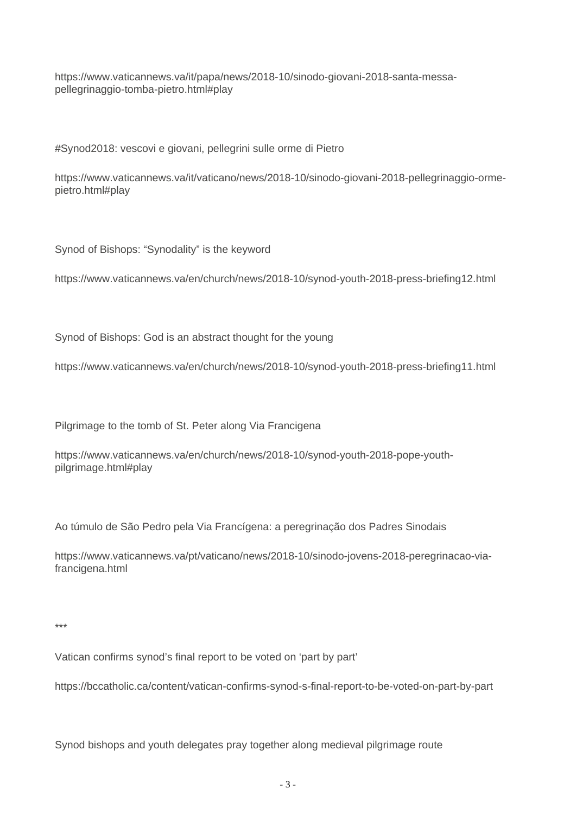https://www.vaticannews.va/it/papa/news/2018-10/sinodo-giovani-2018-santa-messapellegrinaggio-tomba-pietro.html#play

#Synod2018: vescovi e giovani, pellegrini sulle orme di Pietro

https://www.vaticannews.va/it/vaticano/news/2018-10/sinodo-giovani-2018-pellegrinaggio-ormepietro.html#play

Synod of Bishops: "Synodality" is the keyword

https://www.vaticannews.va/en/church/news/2018-10/synod-youth-2018-press-briefing12.html

Synod of Bishops: God is an abstract thought for the young

https://www.vaticannews.va/en/church/news/2018-10/synod-youth-2018-press-briefing11.html

Pilgrimage to the tomb of St. Peter along Via Francigena

https://www.vaticannews.va/en/church/news/2018-10/synod-youth-2018-pope-youthpilgrimage.html#play

Ao túmulo de São Pedro pela Via Francígena: a peregrinação dos Padres Sinodais

https://www.vaticannews.va/pt/vaticano/news/2018-10/sinodo-jovens-2018-peregrinacao-viafrancigena.html

\*\*\*

Vatican confirms synod's final report to be voted on 'part by part'

https://bccatholic.ca/content/vatican-confirms-synod-s-final-report-to-be-voted-on-part-by-part

Synod bishops and youth delegates pray together along medieval pilgrimage route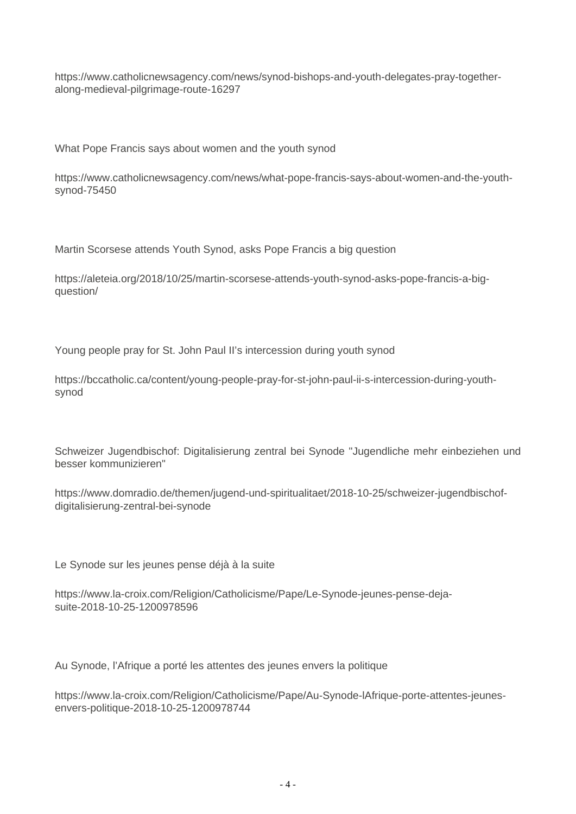https://www.catholicnewsagency.com/news/synod-bishops-and-youth-delegates-pray-togetheralong-medieval-pilgrimage-route-16297

What Pope Francis says about women and the youth synod

https://www.catholicnewsagency.com/news/what-pope-francis-says-about-women-and-the-youthsynod-75450

Martin Scorsese attends Youth Synod, asks Pope Francis a big question

https://aleteia.org/2018/10/25/martin-scorsese-attends-youth-synod-asks-pope-francis-a-bigquestion/

Young people pray for St. John Paul II's intercession during youth synod

https://bccatholic.ca/content/young-people-pray-for-st-john-paul-ii-s-intercession-during-youthsynod

Schweizer Jugendbischof: Digitalisierung zentral bei Synode "Jugendliche mehr einbeziehen und besser kommunizieren"

https://www.domradio.de/themen/jugend-und-spiritualitaet/2018-10-25/schweizer-jugendbischofdigitalisierung-zentral-bei-synode

Le Synode sur les jeunes pense déjà à la suite

https://www.la-croix.com/Religion/Catholicisme/Pape/Le-Synode-jeunes-pense-dejasuite-2018-10-25-1200978596

Au Synode, l'Afrique a porté les attentes des jeunes envers la politique

https://www.la-croix.com/Religion/Catholicisme/Pape/Au-Synode-lAfrique-porte-attentes-jeunesenvers-politique-2018-10-25-1200978744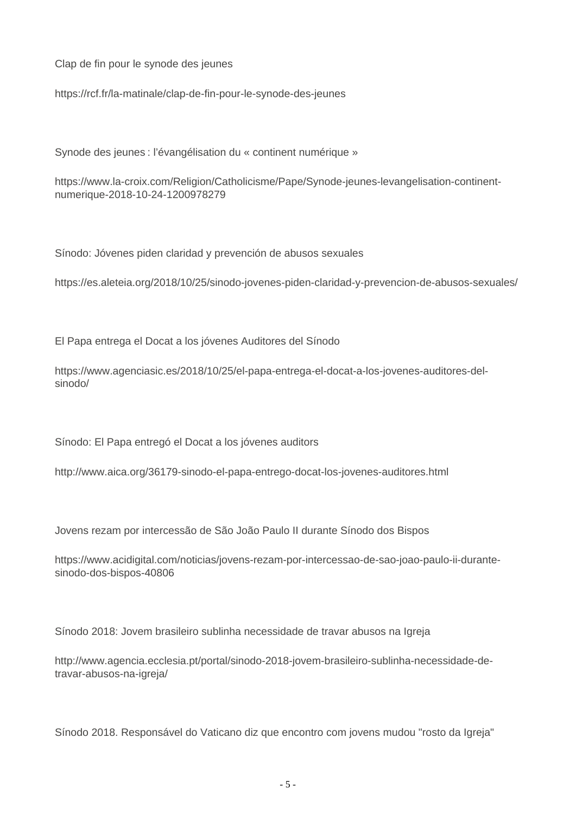Clap de fin pour le synode des jeunes

https://rcf.fr/la-matinale/clap-de-fin-pour-le-synode-des-jeunes

Synode des jeunes : l'évangélisation du « continent numérique »

https://www.la-croix.com/Religion/Catholicisme/Pape/Synode-jeunes-levangelisation-continentnumerique-2018-10-24-1200978279

Sínodo: Jóvenes piden claridad y prevención de abusos sexuales

https://es.aleteia.org/2018/10/25/sinodo-jovenes-piden-claridad-y-prevencion-de-abusos-sexuales/

El Papa entrega el Docat a los jóvenes Auditores del Sínodo

https://www.agenciasic.es/2018/10/25/el-papa-entrega-el-docat-a-los-jovenes-auditores-delsinodo/

Sínodo: El Papa entregó el Docat a los jóvenes auditors

http://www.aica.org/36179-sinodo-el-papa-entrego-docat-los-jovenes-auditores.html

Jovens rezam por intercessão de São João Paulo II durante Sínodo dos Bispos

https://www.acidigital.com/noticias/jovens-rezam-por-intercessao-de-sao-joao-paulo-ii-durantesinodo-dos-bispos-40806

Sínodo 2018: Jovem brasileiro sublinha necessidade de travar abusos na Igreja

http://www.agencia.ecclesia.pt/portal/sinodo-2018-jovem-brasileiro-sublinha-necessidade-detravar-abusos-na-igreja/

Sínodo 2018. Responsável do Vaticano diz que encontro com jovens mudou "rosto da Igreja"